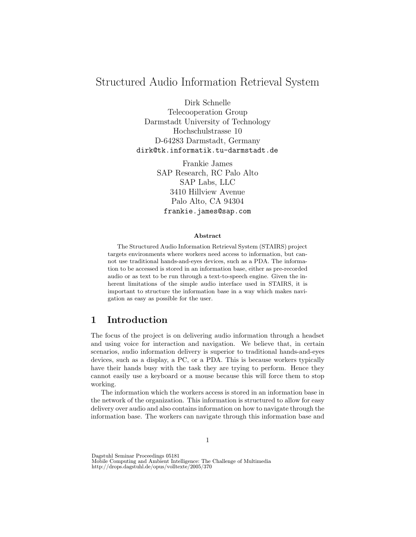# Structured Audio Information Retrieval System

Dirk Schnelle

Telecooperation Group Darmstadt University of Technology Hochschulstrasse 10 D-64283 Darmstadt, Germany dirk@tk.informatik.tu-darmstadt.de

> Frankie James SAP Research, RC Palo Alto SAP Labs, LLC 3410 Hillview Avenue Palo Alto, CA 94304 frankie.james@sap.com

#### Abstract

The Structured Audio Information Retrieval System (STAIRS) project targets environments where workers need access to information, but cannot use traditional hands-and-eyes devices, such as a PDA. The information to be accessed is stored in an information base, either as pre-recorded audio or as text to be run through a text-to-speech engine. Given the inherent limitations of the simple audio interface used in STAIRS, it is important to structure the information base in a way which makes navigation as easy as possible for the user.

# 1 Introduction

The focus of the project is on delivering audio information through a headset and using voice for interaction and navigation. We believe that, in certain scenarios, audio information delivery is superior to traditional hands-and-eyes devices, such as a display, a PC, or a PDA. This is because workers typically have their hands busy with the task they are trying to perform. Hence they cannot easily use a keyboard or a mouse because this will force them to stop working.

The information which the workers access is stored in an information base in the network of the organization. This information is structured to allow for easy delivery over audio and also contains information on how to navigate through the information base. The workers can navigate through this information base and

Dagstuhl Seminar Proceedings 05181

Mobile Computing and Ambient Intelligence: The Challenge of Multimedia http://drops.dagstuhl.de/opus/volltexte/2005/370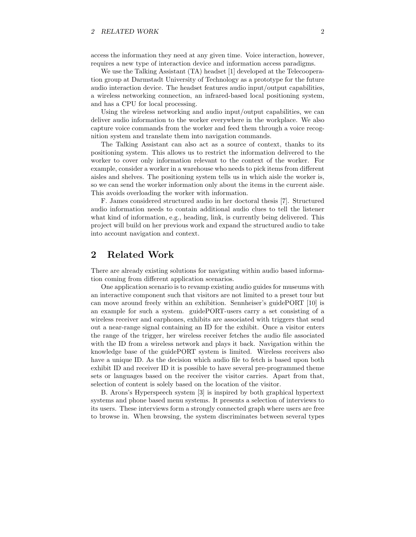access the information they need at any given time. Voice interaction, however, requires a new type of interaction device and information access paradigms.

We use the Talking Assistant (TA) headset [1] developed at the Telecooperation group at Darmstadt University of Technology as a prototype for the future audio interaction device. The headset features audio input/output capabilities, a wireless networking connection, an infrared-based local positioning system, and has a CPU for local processing.

Using the wireless networking and audio input/output capabilities, we can deliver audio information to the worker everywhere in the workplace. We also capture voice commands from the worker and feed them through a voice recognition system and translate them into navigation commands.

The Talking Assistant can also act as a source of context, thanks to its positioning system. This allows us to restrict the information delivered to the worker to cover only information relevant to the context of the worker. For example, consider a worker in a warehouse who needs to pick items from different aisles and shelves. The positioning system tells us in which aisle the worker is, so we can send the worker information only about the items in the current aisle. This avoids overloading the worker with information.

F. James considered structured audio in her doctoral thesis [7]. Structured audio information needs to contain additional audio clues to tell the listener what kind of information, e.g., heading, link, is currently being delivered. This project will build on her previous work and expand the structured audio to take into account navigation and context.

## 2 Related Work

There are already existing solutions for navigating within audio based information coming from different application scenarios.

One application scenario is to revamp existing audio guides for museums with an interactive component such that visitors are not limited to a preset tour but can move around freely within an exhibition. Sennheiser's guidePORT [10] is an example for such a system. guidePORT-users carry a set consisting of a wireless receiver and earphones, exhibits are associated with triggers that send out a near-range signal containing an ID for the exhibit. Once a visitor enters the range of the trigger, her wireless receiver fetches the audio file associated with the ID from a wireless network and plays it back. Navigation within the knowledge base of the guidePORT system is limited. Wireless receivers also have a unique ID. As the decision which audio file to fetch is based upon both exhibit ID and receiver ID it is possible to have several pre-programmed theme sets or languages based on the receiver the visitor carries. Apart from that, selection of content is solely based on the location of the visitor.

B. Arons's Hyperspeech system [3] is inspired by both graphical hypertext systems and phone based menu systems. It presents a selection of interviews to its users. These interviews form a strongly connected graph where users are free to browse in. When browsing, the system discriminates between several types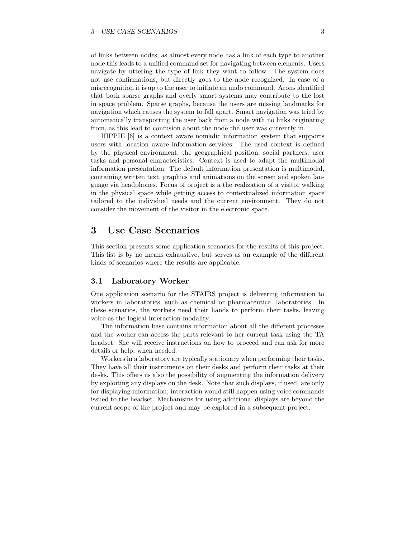of links between nodes; as almost every node has a link of each type to another node this leads to a unified command set for navigating between elements. Users navigate by uttering the type of link they want to follow. The system does not use confirmations, but directly goes to the node recognized. In case of a misrecognition it is up to the user to initiate an undo command. Arons identified that both sparse graphs and overly smart systems may contribute to the lost in space problem. Sparse graphs, because the users are missing landmarks for navigation which causes the system to fall apart. Smart navigation was tried by automatically transporting the user back from a node with no links originating from, as this lead to confusion about the node the user was currently in.

HIPPIE [6] is a context aware nomadic information system that supports users with location aware information services. The used context is defined by the physical environment, the geographical position, social partners, user tasks and personal characteristics. Context is used to adapt the multimodal information presentation. The default information presentation is multimodal, containing written text, graphics and animations on the screen and spoken language via headphones. Focus of project is a the realization of a visitor walking in the physical space while getting access to contextualized information space tailored to the individual needs and the current environment. They do not consider the movement of the visitor in the electronic space.

### 3 Use Case Scenarios

This section presents some application scenarios for the results of this project. This list is by no means exhaustive, but serves as an example of the different kinds of scenarios where the results are applicable.

### 3.1 Laboratory Worker

One application scenario for the STAIRS project is delivering information to workers in laboratories, such as chemical or pharmaceutical laboratories. In these scenarios, the workers need their hands to perform their tasks, leaving voice as the logical interaction modality.

The information base contains information about all the different processes and the worker can access the parts relevant to her current task using the TA headset. She will receive instructions on how to proceed and can ask for more details or help, when needed.

Workers in a laboratory are typically stationary when performing their tasks. They have all their instruments on their desks and perform their tasks at their desks. This offers us also the possibility of augmenting the information delivery by exploiting any displays on the desk. Note that such displays, if used, are only for displaying information; interaction would still happen using voice commands issued to the headset. Mechanisms for using additional displays are beyond the current scope of the project and may be explored in a subsequent project.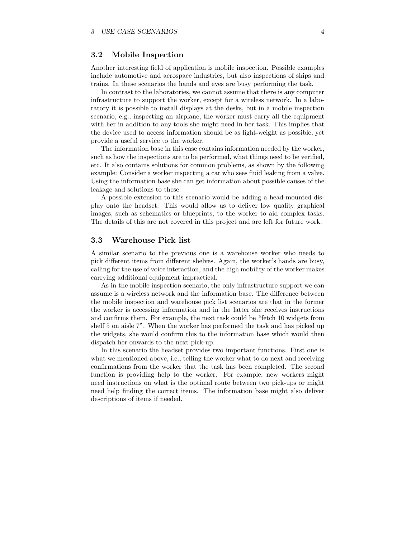#### 3.2 Mobile Inspection

Another interesting field of application is mobile inspection. Possible examples include automotive and aerospace industries, but also inspections of ships and trains. In these scenarios the hands and eyes are busy performing the task.

In contrast to the laboratories, we cannot assume that there is any computer infrastructure to support the worker, except for a wireless network. In a laboratory it is possible to install displays at the desks, but in a mobile inspection scenario, e.g., inspecting an airplane, the worker must carry all the equipment with her in addition to any tools she might need in her task. This implies that the device used to access information should be as light-weight as possible, yet provide a useful service to the worker.

The information base in this case contains information needed by the worker, such as how the inspections are to be performed, what things need to be verified, etc. It also contains solutions for common problems, as shown by the following example: Consider a worker inspecting a car who sees fluid leaking from a valve. Using the information base she can get information about possible causes of the leakage and solutions to these.

A possible extension to this scenario would be adding a head-mounted display onto the headset. This would allow us to deliver low quality graphical images, such as schematics or blueprints, to the worker to aid complex tasks. The details of this are not covered in this project and are left for future work.

#### 3.3 Warehouse Pick list

A similar scenario to the previous one is a warehouse worker who needs to pick different items from different shelves. Again, the worker's hands are busy, calling for the use of voice interaction, and the high mobility of the worker makes carrying additional equipment impractical.

As in the mobile inspection scenario, the only infrastructure support we can assume is a wireless network and the information base. The difference between the mobile inspection and warehouse pick list scenarios are that in the former the worker is accessing information and in the latter she receives instructions and confirms them. For example, the next task could be "fetch 10 widgets from shelf 5 on aisle 7". When the worker has performed the task and has picked up the widgets, she would confirm this to the information base which would then dispatch her onwards to the next pick-up.

In this scenario the headset provides two important functions. First one is what we mentioned above, i.e., telling the worker what to do next and receiving confirmations from the worker that the task has been completed. The second function is providing help to the worker. For example, new workers might need instructions on what is the optimal route between two pick-ups or might need help finding the correct items. The information base might also deliver descriptions of items if needed.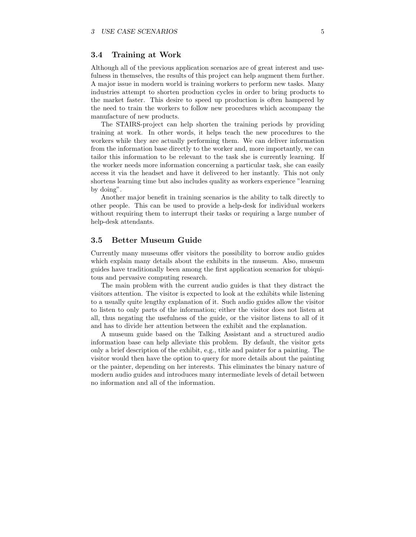### 3.4 Training at Work

Although all of the previous application scenarios are of great interest and usefulness in themselves, the results of this project can help augment them further. A major issue in modern world is training workers to perform new tasks. Many industries attempt to shorten production cycles in order to bring products to the market faster. This desire to speed up production is often hampered by the need to train the workers to follow new procedures which accompany the manufacture of new products.

The STAIRS-project can help shorten the training periods by providing training at work. In other words, it helps teach the new procedures to the workers while they are actually performing them. We can deliver information from the information base directly to the worker and, more importantly, we can tailor this information to be relevant to the task she is currently learning. If the worker needs more information concerning a particular task, she can easily access it via the headset and have it delivered to her instantly. This not only shortens learning time but also includes quality as workers experience "learning by doing".

Another major benefit in training scenarios is the ability to talk directly to other people. This can be used to provide a help-desk for individual workers without requiring them to interrupt their tasks or requiring a large number of help-desk attendants.

#### 3.5 Better Museum Guide

Currently many museums offer visitors the possibility to borrow audio guides which explain many details about the exhibits in the museum. Also, museum guides have traditionally been among the first application scenarios for ubiquitous and pervasive computing research.

The main problem with the current audio guides is that they distract the visitors attention. The visitor is expected to look at the exhibits while listening to a usually quite lengthy explanation of it. Such audio guides allow the visitor to listen to only parts of the information; either the visitor does not listen at all, thus negating the usefulness of the guide, or the visitor listens to all of it and has to divide her attention between the exhibit and the explanation.

A museum guide based on the Talking Assistant and a structured audio information base can help alleviate this problem. By default, the visitor gets only a brief description of the exhibit, e.g., title and painter for a painting. The visitor would then have the option to query for more details about the painting or the painter, depending on her interests. This eliminates the binary nature of modern audio guides and introduces many intermediate levels of detail between no information and all of the information.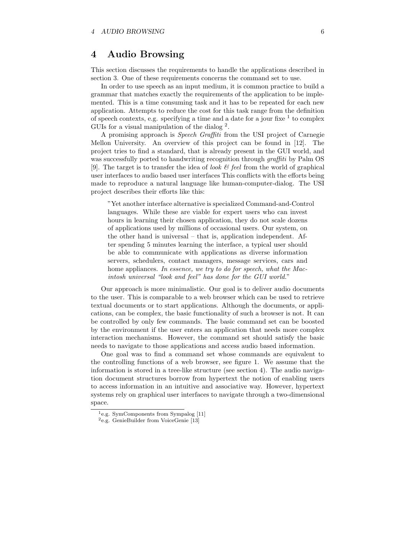### 4 Audio Browsing

This section discusses the requirements to handle the applications described in section 3. One of these requirements concerns the command set to use.

In order to use speech as an input medium, it is common practice to build a grammar that matches exactly the requirements of the application to be implemented. This is a time consuming task and it has to be repeated for each new application. Attempts to reduce the cost for this task range from the definition of speech contexts, e.g. specifying a time and a date for a jour fixe  $1$  to complex GUIs for a visual manipulation of the dialog <sup>2</sup>.

A promising approach is Speech Graffiti from the USI project of Carnegie Mellon University. An overview of this project can be found in [12]. The project tries to find a standard, that is already present in the GUI world, and was successfully ported to handwriting recognition through *graffiti* by Palm OS [9]. The target is to transfer the idea of *look*  $\mathcal{B}$  feel from the world of graphical user interfaces to audio based user interfaces This conflicts with the efforts being made to reproduce a natural language like human-computer-dialog. The USI project describes their efforts like this:

"Yet another interface alternative is specialized Command-and-Control languages. While these are viable for expert users who can invest hours in learning their chosen application, they do not scale dozens of applications used by millions of occasional users. Our system, on the other hand is universal – that is, application independent. After spending 5 minutes learning the interface, a typical user should be able to communicate with applications as diverse information servers, schedulers, contact managers, message services, cars and home appliances. In essence, we try to do for speech, what the Macintosh universal "look and feel" has done for the GUI world."

Our approach is more minimalistic. Our goal is to deliver audio documents to the user. This is comparable to a web browser which can be used to retrieve textual documents or to start applications. Although the documents, or applications, can be complex, the basic functionality of such a browser is not. It can be controlled by only few commands. The basic command set can be boosted by the environment if the user enters an application that needs more complex interaction mechanisms. However, the command set should satisfy the basic needs to navigate to those applications and access audio based information.

One goal was to find a command set whose commands are equivalent to the controlling functions of a web browser, see figure 1. We assume that the information is stored in a tree-like structure (see section 4). The audio navigation document structures borrow from hypertext the notion of enabling users to access information in an intuitive and associative way. However, hypertext systems rely on graphical user interfaces to navigate through a two-dimensional space.

<sup>1</sup>e.g. SymComponents from Sympalog [11]

<sup>2</sup>e.g. GenieBuilder from VoiceGenie [13]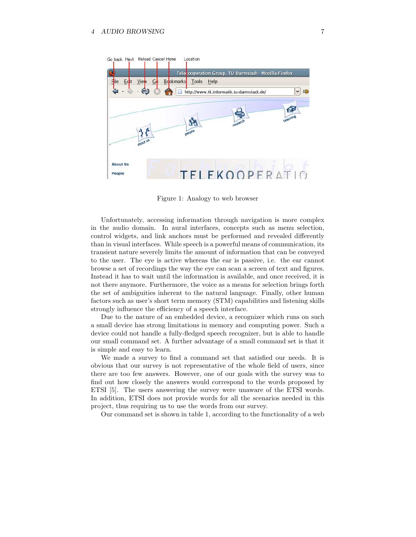

Figure 1: Analogy to web browser

Unfortunately, accessing information through navigation is more complex in the audio domain. In aural interfaces, concepts such as menu selection, control widgets, and link anchors must be performed and revealed differently than in visual interfaces. While speech is a powerful means of communication, its transient nature severely limits the amount of information that can be conveyed to the user. The eye is active whereas the ear is passive, i.e. the ear cannot browse a set of recordings the way the eye can scan a screen of text and figures. Instead it has to wait until the information is available, and once received, it is not there anymore. Furthermore, the voice as a means for selection brings forth the set of ambiguities inherent to the natural language. Finally, other human factors such as user's short term memory (STM) capabilities and listening skills strongly influence the efficiency of a speech interface.

Due to the nature of an embedded device, a recognizer which runs on such a small device has strong limitations in memory and computing power. Such a device could not handle a fully-fledged speech recognizer, but is able to handle our small command set. A further advantage of a small command set is that it is simple and easy to learn.

We made a survey to find a command set that satisfied our needs. It is obvious that our survey is not representative of the whole field of users, since there are too few answers. However, one of our goals with the survey was to find out how closely the answers would correspond to the words proposed by ETSI [5]. The users answering the survey were unaware of the ETSI words. In addition, ETSI does not provide words for all the scenarios needed in this project, thus requiring us to use the words from our survey.

Our command set is shown in table 1, according to the functionality of a web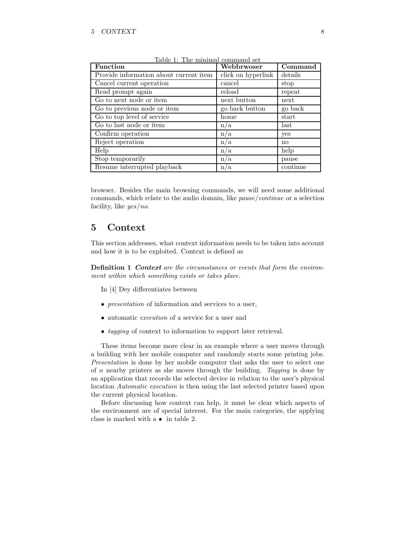| <b>Function</b>                        | Webbrwoser         | $\overline{\mathrm{Command}}$ |
|----------------------------------------|--------------------|-------------------------------|
| Provide information about current item | click on hyperlink | details                       |
| Cancel current operation               | cancel             | stop                          |
| Read prompt again                      | reload             | repeat                        |
| Go to next node or item                | next button        | next                          |
| Go to previous node or item            | go back button     | go back                       |
| Go to top level of service             | home               | start                         |
| Go to last node or item                | n/a                | last                          |
| Confirm operation                      | n/a                | yes                           |
| Reject operation                       | n/a                | no                            |
| Help                                   | n/a                | help                          |
| Stop temporarily                       | n/a                | pause                         |
| Resume interrupted playback            | n/a                | continue                      |

Table 1: The minimal command set

browser. Besides the main browsing commands, we will need some additional commands, which relate to the audio domain, like pause/continue or a selection facility, like yes/no.

### 5 Context

This section addresses, what context information needs to be taken into account and how it is to be exploited. Context is defined as

Definition 1 Context are the circumstances or events that form the environment within which something exists or takes place.

In [4] Dey differentiates between

- *presentation* of information and services to a user,
- automatic execution of a service for a user and
- tagging of context to information to support later retrieval.

These items become more clear in an example where a user moves through a building with her mobile computer and randomly starts some printing jobs. Presentation is done by her mobile computer that asks the user to select one of  $n$  nearby printers as she moves through the building. Tagging is done by an application that records the selected device in relation to the user's physical location Automatic execution is then using the last selected printer based upon the current physical location.

Before discussing how context can help, it must be clear which aspects of the environment are of special interest. For the main categories, the applying class is marked with  $a \bullet in table 2$ .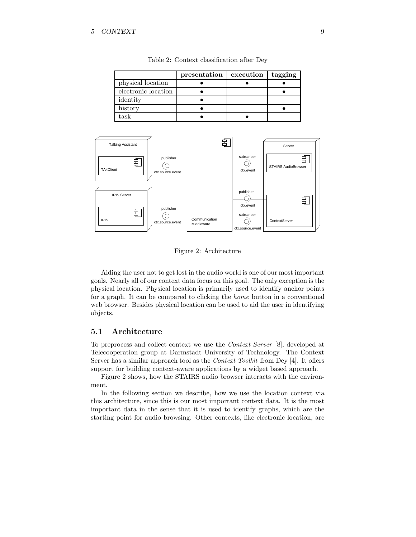|                     | presentation | execution | tagging |
|---------------------|--------------|-----------|---------|
| physical location   |              |           |         |
| electronic location |              |           |         |
| identity            |              |           |         |
| history             |              |           |         |
| task                |              |           |         |

Table 2: Context classification after Dey



Figure 2: Architecture

Aiding the user not to get lost in the audio world is one of our most important goals. Nearly all of our context data focus on this goal. The only exception is the physical location. Physical location is primarily used to identify anchor points for a graph. It can be compared to clicking the home button in a conventional web browser. Besides physical location can be used to aid the user in identifying objects.

### 5.1 Architecture

To preprocess and collect context we use the Context Server [8], developed at Telecooperation group at Darmstadt University of Technology. The Context Server has a similar approach tool as the Context Toolkit from Dey [4]. It offers support for building context-aware applications by a widget based approach.

Figure 2 shows, how the STAIRS audio browser interacts with the environment.

In the following section we describe, how we use the location context via this architecture, since this is our most important context data. It is the most important data in the sense that it is used to identify graphs, which are the starting point for audio browsing. Other contexts, like electronic location, are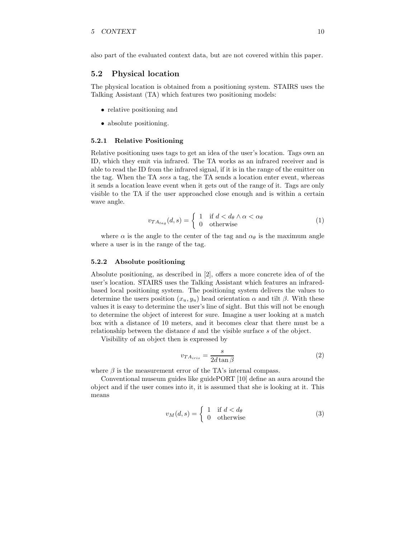also part of the evaluated context data, but are not covered within this paper.

#### 5.2 Physical location

The physical location is obtained from a positioning system. STAIRS uses the Talking Assistant (TA) which features two positioning models:

- relative positioning and
- absolute positioning.

#### 5.2.1 Relative Positioning

Relative positioning uses tags to get an idea of the user's location. Tags own an ID, which they emit via infrared. The TA works as an infrared receiver and is able to read the ID from the infrared signal, if it is in the range of the emitter on the tag. When the TA sees a tag, the TA sends a location enter event, whereas it sends a location leave event when it gets out of the range of it. Tags are only visible to the TA if the user approached close enough and is within a certain wave angle.

$$
v_{TA_{tag}}(d,s) = \begin{cases} 1 & \text{if } d < d_\theta \wedge \alpha < \alpha_\theta \\ 0 & \text{otherwise} \end{cases} \tag{1}
$$

where  $\alpha$  is the angle to the center of the tag and  $\alpha_{\theta}$  is the maximum angle where a user is in the range of the tag.

#### 5.2.2 Absolute positioning

Absolute positioning, as described in [2], offers a more concrete idea of of the user's location. STAIRS uses the Talking Assistant which features an infraredbased local positioning system. The positioning system delivers the values to determine the users position  $(x_u, y_u)$  head orientation  $\alpha$  and tilt  $\beta$ . With these values it is easy to determine the user's line of sight. But this will not be enough to determine the object of interest for sure. Imagine a user looking at a match box with a distance of 10 meters, and it becomes clear that there must be a relationship between the distance d and the visible surface s of the object.

Visibility of an object then is expressed by

$$
v_{TA_{iris}} = \frac{s}{2d \tan \beta} \tag{2}
$$

where  $\beta$  is the measurement error of the TA's internal compass.

Conventional museum guides like guidePORT [10] define an aura around the object and if the user comes into it, it is assumed that she is looking at it. This means

$$
v_M(d,s) = \begin{cases} 1 & \text{if } d < d_\theta \\ 0 & \text{otherwise} \end{cases} \tag{3}
$$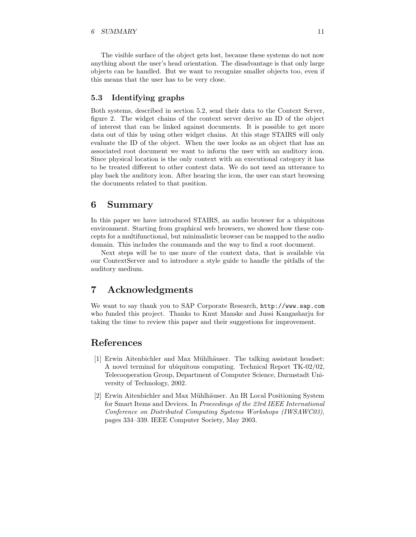#### 6 SUMMARY 11

The visible surface of the object gets lost, because these systems do not now anything about the user's head orientation. The disadvantage is that only large objects can be handled. But we want to recognize smaller objects too, even if this means that the user has to be very close.

### 5.3 Identifying graphs

Both systems, described in section 5.2, send their data to the Context Server, figure 2. The widget chains of the context server derive an ID of the object of interest that can be linked against documents. It is possible to get more data out of this by using other widget chains. At this stage STAIRS will only evaluate the ID of the object. When the user looks as an object that has an associated root document we want to inform the user with an auditory icon. Since physical location is the only context with an executional category it has to be treated different to other context data. We do not need an utterance to play back the auditory icon. After hearing the icon, the user can start browsing the documents related to that position.

### 6 Summary

In this paper we have introduced STAIRS, an audio browser for a ubiquitous environment. Starting from graphical web browsers, we showed how these concepts for a multifunctional, but minimalistic browser can be mapped to the audio domain. This includes the commands and the way to find a root document.

Next steps will be to use more of the context data, that is available via our ContextServer and to introduce a style guide to handle the pitfalls of the auditory medium.

### 7 Acknowledgments

We want to say thank you to SAP Corporate Research, http://www.sap.com who funded this project. Thanks to Knut Manske and Jussi Kangasharju for taking the time to review this paper and their suggestions for improvement.

### References

- [1] Erwin Aitenbichler and Max Mühlhäuser. The talking assistant headset: A novel terminal for ubiquitous computing. Technical Report TK-02/02, Telecooperation Group, Department of Computer Science, Darmstadt University of Technology, 2002.
- [2] Erwin Aitenbichler and Max Mühlhäuser. An IR Local Positioning System for Smart Items and Devices. In Proceedings of the 23rd IEEE International Conference on Distributed Computing Systems Workshops (IWSAWC03), pages 334–339. IEEE Computer Society, May 2003.